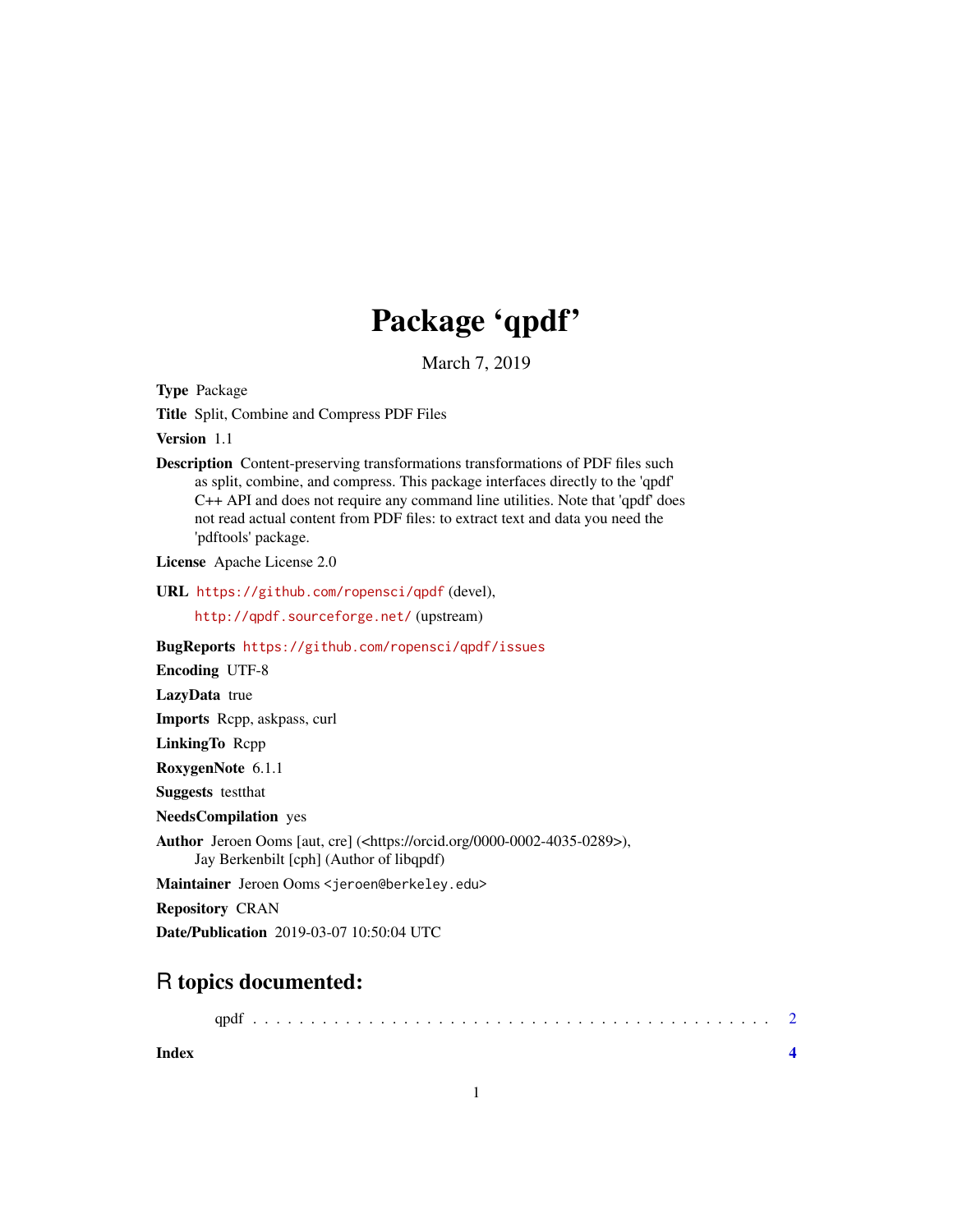## Package 'qpdf'

March 7, 2019

Type Package

Title Split, Combine and Compress PDF Files

Version 1.1

Description Content-preserving transformations transformations of PDF files such as split, combine, and compress. This package interfaces directly to the 'qpdf' C++ API and does not require any command line utilities. Note that 'qpdf' does not read actual content from PDF files: to extract text and data you need the 'pdftools' package.

License Apache License 2.0

URL <https://github.com/ropensci/qpdf> (devel),

<http://qpdf.sourceforge.net/> (upstream)

BugReports <https://github.com/ropensci/qpdf/issues>

Encoding UTF-8

LazyData true

Imports Rcpp, askpass, curl

LinkingTo Rcpp

RoxygenNote 6.1.1

Suggests testthat

NeedsCompilation yes

```
Author Jeroen Ooms [aut, cre] (<https://orcid.org/0000-0002-4035-0289>),
     Jay Berkenbilt [cph] (Author of libqpdf)
```
Maintainer Jeroen Ooms <jeroen@berkeley.edu>

Repository CRAN

Date/Publication 2019-03-07 10:50:04 UTC

### R topics documented:

|--|--|--|--|

**Index** [4](#page-3-0)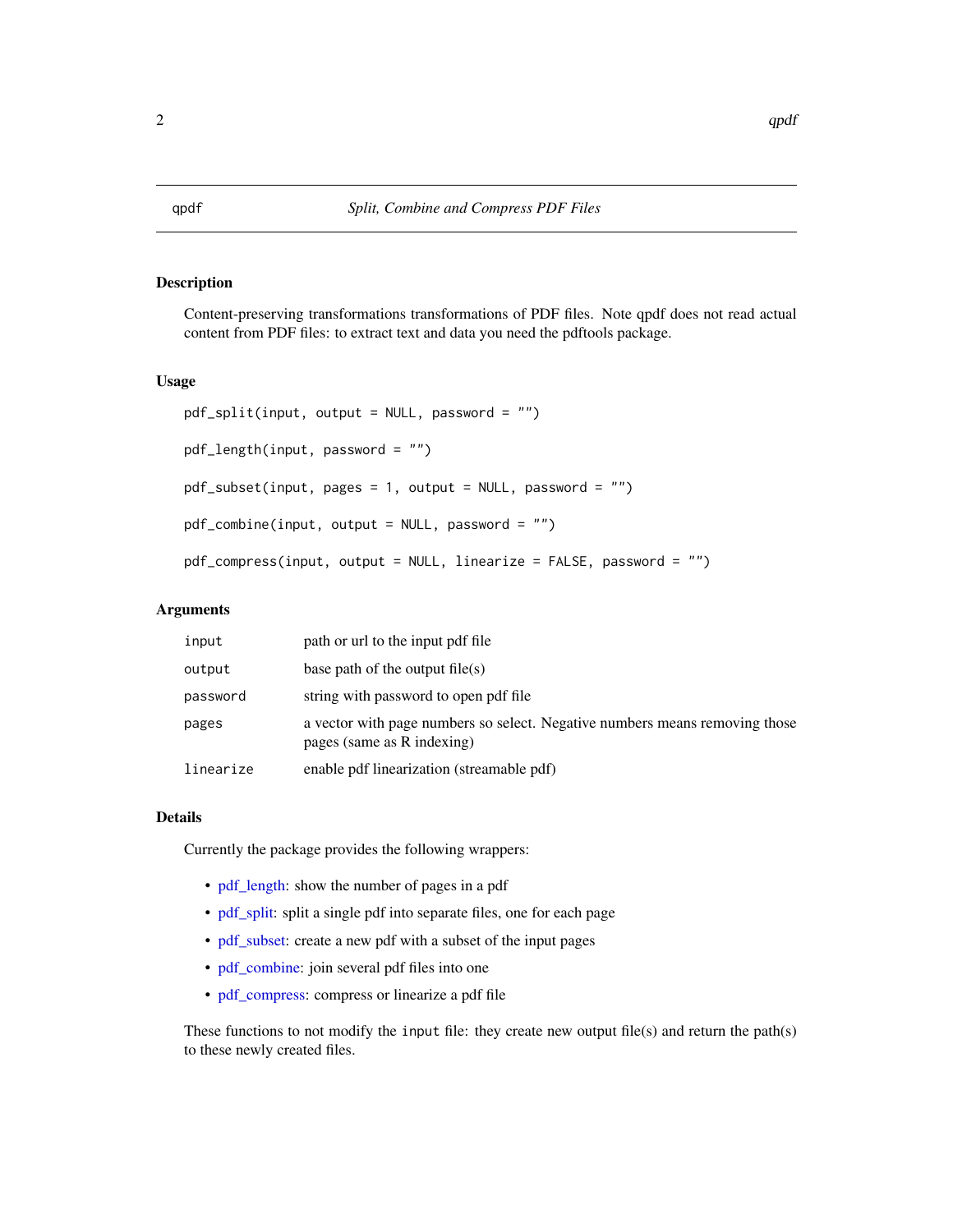#### <span id="page-1-1"></span><span id="page-1-0"></span>Description

Content-preserving transformations transformations of PDF files. Note qpdf does not read actual content from PDF files: to extract text and data you need the pdftools package.

#### Usage

```
pdf_split(input, output = NULL, password = "")
pdf_length(input, password = "")
pdf_subset(input, pages = 1, output = NULL, password = "")
pdf\_combine(input, output = NULL, password = "")pdf_compress(input, output = NULL, linearize = FALSE, password = "")
```
#### Arguments

| input     | path or url to the input pdf file                                                                         |  |
|-----------|-----------------------------------------------------------------------------------------------------------|--|
| output    | base path of the output file(s)                                                                           |  |
| password  | string with password to open pdf file                                                                     |  |
| pages     | a vector with page numbers so select. Negative numbers means removing those<br>pages (same as R indexing) |  |
| linearize | enable pdf linearization (streamable pdf)                                                                 |  |

#### Details

Currently the package provides the following wrappers:

- [pdf\\_length:](#page-1-1) show the number of pages in a pdf
- [pdf\\_split:](#page-1-1) split a single pdf into separate files, one for each page
- [pdf\\_subset:](#page-1-1) create a new pdf with a subset of the input pages
- [pdf\\_combine:](#page-1-1) join several pdf files into one
- [pdf\\_compress:](#page-1-1) compress or linearize a pdf file

These functions to not modify the input file: they create new output file(s) and return the path(s) to these newly created files.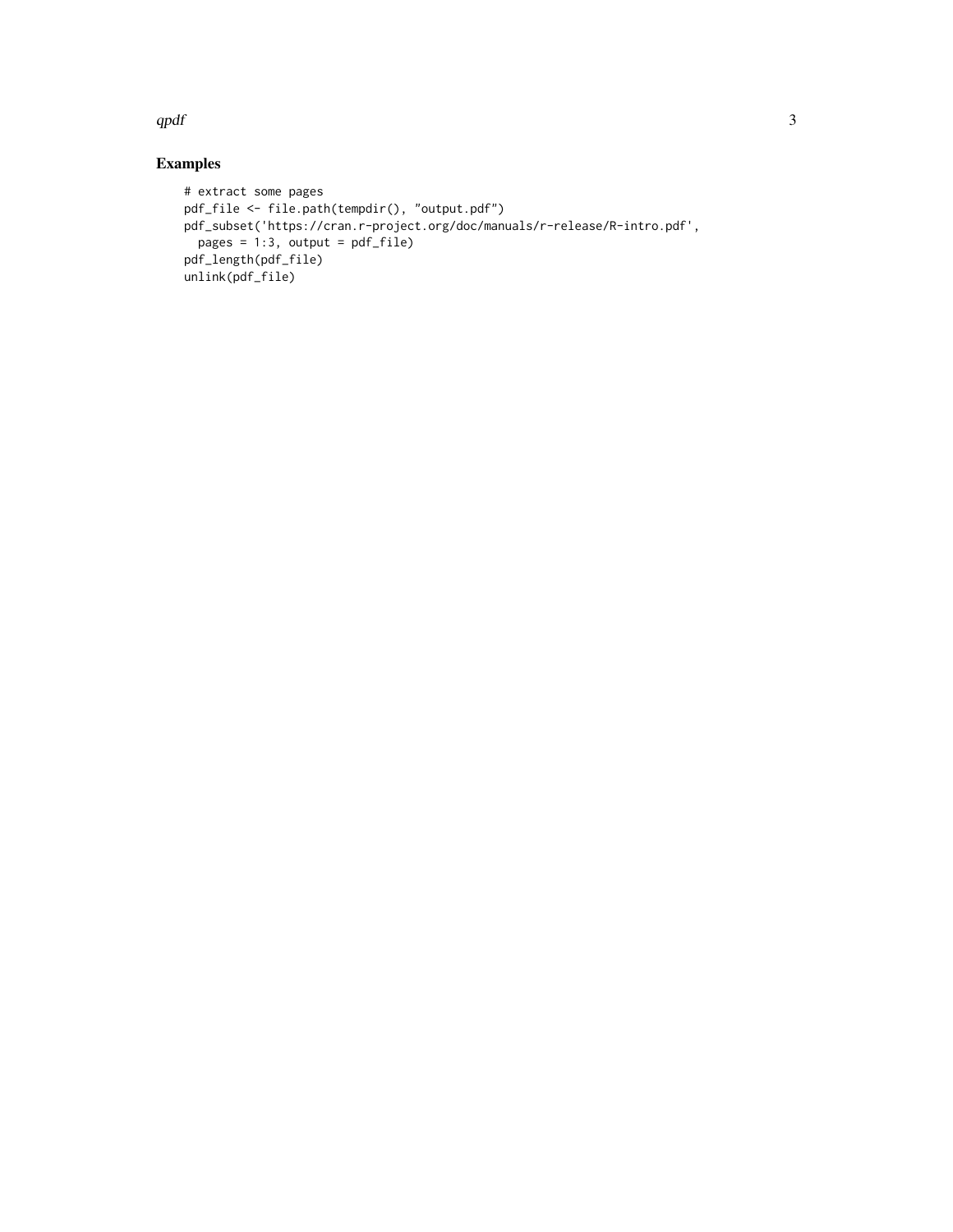$qpdf$  3

#### Examples

```
# extract some pages
pdf_file <- file.path(tempdir(), "output.pdf")
pdf_subset('https://cran.r-project.org/doc/manuals/r-release/R-intro.pdf',
pages = 1:3, output = pdf_file)
pdf_length(pdf_file)
unlink(pdf_file)
```